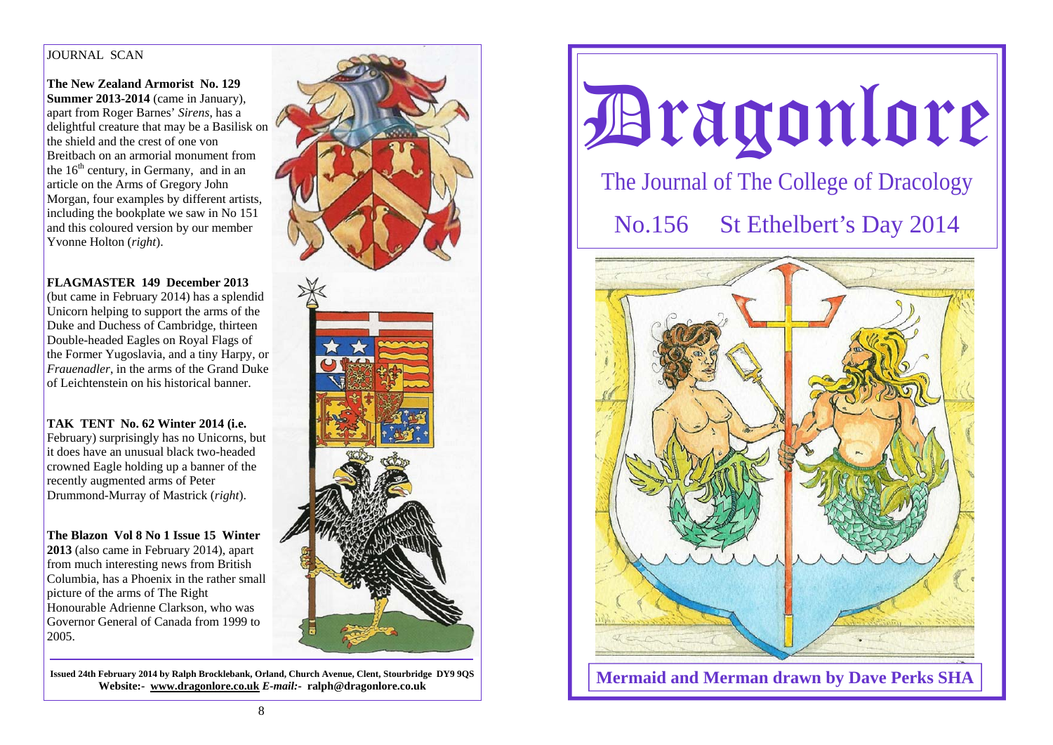## IOURNAL SCAN

**The New Zealand Armorist No. 129 Summer 2013-2014** (came in January), apart from Roger Barnes' *Sirens*, has a delightful creature that may be a Basilisk on the shield and the crest of one von Breitbach on an armorial monument from the  $16<sup>th</sup>$  century, in Germany, and in an article on the Arms of Gregory John Morgan, four examples by different artists, including the bookplate we saw in No 151 and this coloured version by our member Yvonne Holton (*right*).

# **FLAGMASTER 149 December 2013**

(but came in February 2014) has a splendid Unicorn helping to support the arms of the Duke and Duchess of Cambridge, thirteen Double-headed Eagles on Royal Flags of the Former Yugoslavia, and a tiny Harpy, or *Frauenadler*, in the arms of the Grand Duke of Leichtenstein on his historical banner.

# **TAK TENT No. 62 Winter 2014 (i.e.**

February) surprisingly has no Unicorns, but it does have an unusual black two-headed crowned Eagle holding up a banner of the recently augmented arms of Peter Drummond-Murray of Mastrick (*right*).

**The Blazon Vol 8 No 1 Issue 15 Winter 2013** (also came in February 2014), apart from much interesting news from British Columbia, has a Phoenix in the rather small picture of the arms of The Right Honourable Adrienne Clarkson, who was Governor General of Canada from 1999 to 2005.

**Issued 24th February 2014 by Ralph Brocklebank, Orland, Church Avenue, Clent, Stourbridge DY9 9QS Website:- www.dragonlore.co.uk** *E-mail:-* **ralph@dragonlore.co.uk**



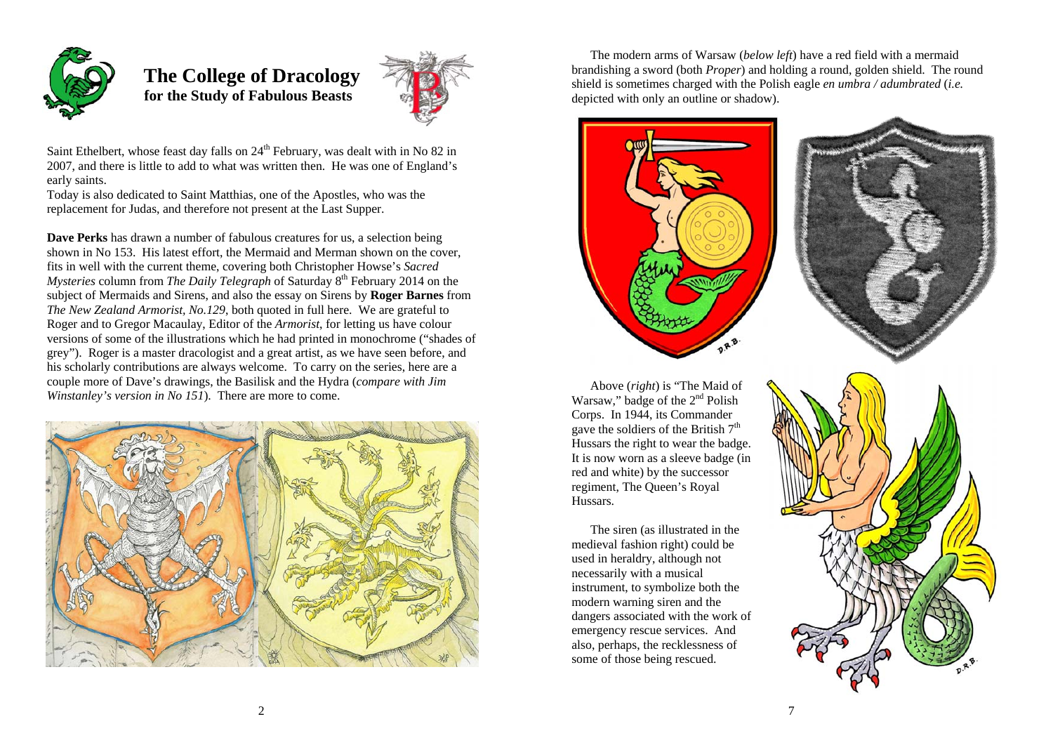

 **The College of Dracology for the Study of Fabulous Beasts** 



Saint Ethelbert, whose feast day falls on  $24<sup>th</sup>$  February, was dealt with in No 82 in 2007, and there is little to add to what was written then. He was one of England's early saints.

Today is also dedicated to Saint Matthias, one of the Apostles, who was the replacement for Judas, and therefore not present at the Last Supper.

**Dave Perks** has drawn a number of fabulous creatures for us, a selection being shown in No 153. His latest effort, the Mermaid and Merman shown on the cover, fits in well with the current theme, covering both Christopher Howse's *Sacred Mysteries* column from *The Daily Telegraph* of Saturday  $8<sup>th</sup>$  February 2014 on the subject of Mermaids and Sirens, and also the essay on Sirens by **Roger Barnes** from *The New Zealand Armorist, No.129*, both quoted in full here. We are grateful to Roger and to Gregor Macaulay, Editor of the *Armorist*, for letting us have colour versions of some of the illustrations which he had printed in monochrome ("shades of grey"). Roger is a master dracologist and a great artist, as we have seen before, and his scholarly contributions are always welcome. To carry on the series, here are a couple more of Dave's drawings, the Basilisk and the Hydra (*compare with Jim Winstanley's version in No 151*). There are more to come.



 The modern arms of Warsaw (*below left*) have a red field with a mermaid brandishing a sword (both *Proper*) and holding a round, golden shield. The round shield is sometimes charged with the Polish eagle *en umbra / adumbrated* (*i.e.*  depicted with only an outline or shadow).





 Above (*right*) is "The Maid of Warsaw," badge of the 2<sup>nd</sup> Polish Corps. In 1944, its Commander gave the soldiers of the British  $7<sup>th</sup>$ Hussars the right to wear the badge. It is now worn as a sleeve badge (in red and white) by the successor regiment, The Queen's Royal Hussars.

 The siren (as illustrated in the medieval fashion right) could be used in heraldry, although not necessarily with a musical instrument, to symbolize both the modern warning siren and the dangers associated with the work of emergency rescue services. And also, perhaps, the recklessness of some of those being rescued.

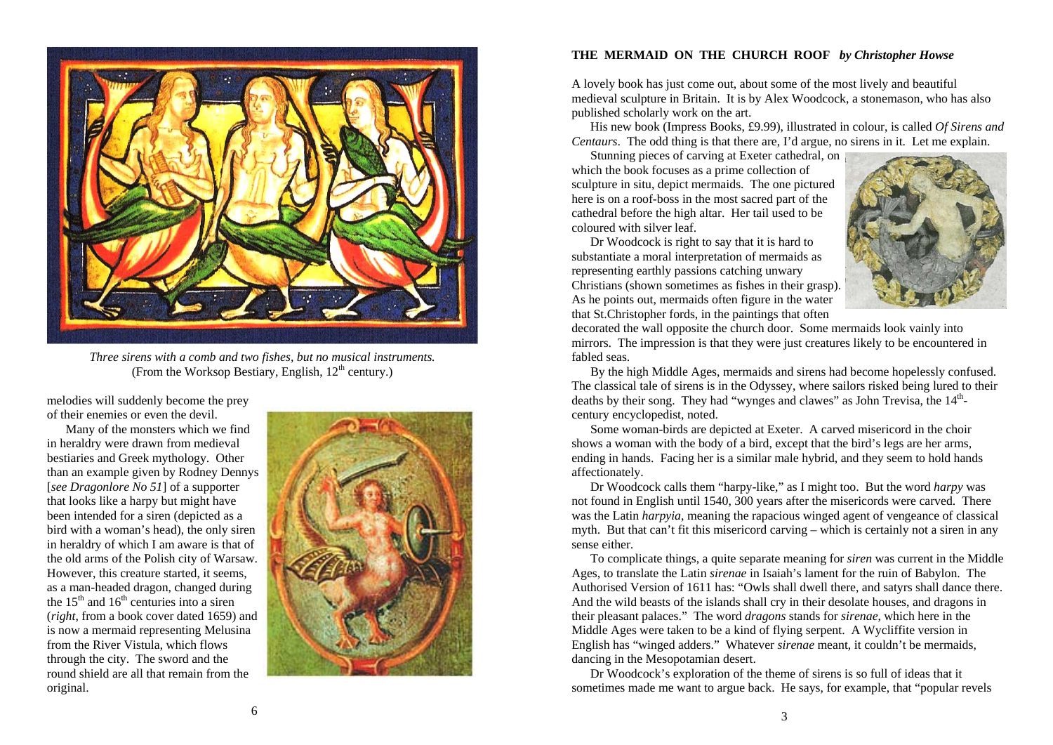

*Three sirens with a comb and two fishes, but no musical instruments.*  (From the Worksop Bestiary, English,  $12<sup>th</sup>$  century.)

melodies will suddenly become the prey of their enemies or even the devil.

 Many of the monsters which we find in heraldry were drawn from medieval bestiaries and Greek mythology. Other than an example given by Rodney Dennys [*see Dragonlore No 51*] of a supporter that looks like a harpy but might have been intended for a siren (depicted as a bird with a woman's head), the only siren in heraldry of which I am aware is that of the old arms of the Polish city of Warsaw. However, this creature started, it seems, as a man-headed dragon, changed during the  $15<sup>th</sup>$  and  $16<sup>th</sup>$  centuries into a siren (*right*, from a book cover dated 1659) and is now a mermaid representing Melusina from the River Vistula, which flows through the city. The sword and the round shield are all that remain from the original.



## **THE MERMAID ON THE CHURCH ROOF** *by Christopher Howse*

A lovely book has just come out, about some of the most lively and beautiful medieval sculpture in Britain. It is by Alex Woodcock, a stonemason, who has also published scholarly work on the art.

 His new book (Impress Books, £9.99), illustrated in colour, is called *Of Sirens and Centaurs*. The odd thing is that there are, I'd argue, no sirens in it. Let me explain.

 Stunning pieces of carving at Exeter cathedral, on which the book focuses as a prime collection of sculpture in situ, depict mermaids. The one pictured here is on a roof-boss in the most sacred part of the cathedral before the high altar. Her tail used to be coloured with silver leaf.

 Dr Woodcock is right to say that it is hard to substantiate a moral interpretation of mermaids as representing earthly passions catching unwary Christians (shown sometimes as fishes in their grasp). As he points out, mermaids often figure in the water that St.Christopher fords, in the paintings that often



decorated the wall opposite the church door. Some mermaids look vainly into mirrors. The impression is that they were just creatures likely to be encountered in fabled seas.

 By the high Middle Ages, mermaids and sirens had become hopelessly confused. The classical tale of sirens is in the Odyssey, where sailors risked being lured to their deaths by their song. They had "wynges and clawes" as John Trevisa, the  $14<sup>th</sup>$ century encyclopedist, noted.

 Some woman-birds are depicted at Exeter. A carved misericord in the choir shows a woman with the body of a bird, except that the bird's legs are her arms, ending in hands. Facing her is a similar male hybrid, and they seem to hold hands affectionately.

 Dr Woodcock calls them "harpy-like," as I might too. But the word *harpy* was not found in English until 1540, 300 years after the misericords were carved. There was the Latin *harpyia*, meaning the rapacious winged agent of vengeance of classical myth. But that can't fit this misericord carving – which is certainly not a siren in any sense either.

 To complicate things, a quite separate meaning for *siren* was current in the Middle Ages, to translate the Latin *sirenae* in Isaiah's lament for the ruin of Babylon. The Authorised Version of 1611 has: "Owls shall dwell there, and satyrs shall dance there. And the wild beasts of the islands shall cry in their desolate houses, and dragons in their pleasant palaces." The word *dragons* stands for *sirenae*, which here in the Middle Ages were taken to be a kind of flying serpent. A Wycliffite version in English has "winged adders." Whatever *sirenae* meant, it couldn't be mermaids, dancing in the Mesopotamian desert.

 Dr Woodcock's exploration of the theme of sirens is so full of ideas that it sometimes made me want to argue back. He says, for example, that "popular revels